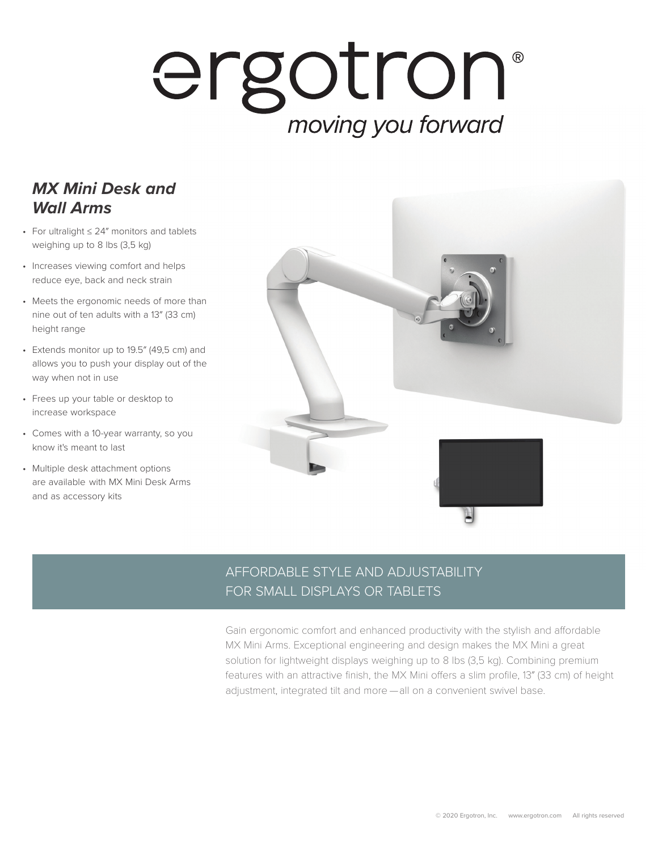## ergotron moving you forward

## *MX Mini Desk and Wall Arms*

- For ultralight ≤ 24″ monitors and tablets weighing up to 8 lbs (3,5 kg)
- Increases viewing comfort and helps reduce eye, back and neck strain
- Meets the ergonomic needs of more than nine out of ten adults with a 13″ (33 cm) height range
- Extends monitor up to 19.5″ (49,5 cm) and allows you to push your display out of the way when not in use
- Frees up your table or desktop to increase workspace
- Comes with a 10-year warranty, so you know it's meant to last
- Multiple desk attachment options are available with MX Mini Desk Arms and as accessory kits



## AFFORDABLE STYLE AND ADJUSTABILITY FOR SMALL DISPLAYS OR TABLETS

Gain ergonomic comfort and enhanced productivity with the stylish and affordable MX Mini Arms. Exceptional engineering and design makes the MX Mini a great solution for lightweight displays weighing up to 8 lbs (3,5 kg). Combining premium features with an attractive finish, the MX Mini offers a slim profile, 13″ (33 cm) of height adjustment, integrated tilt and more — all on a convenient swivel base.